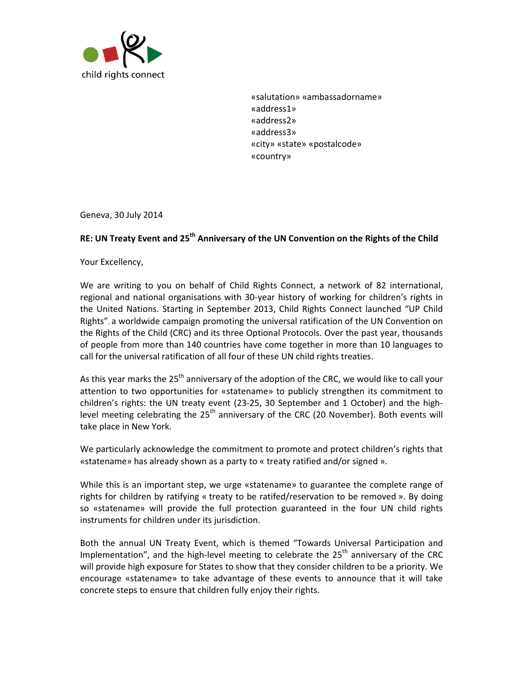

«salutation» «ambassadorname» «address1» «address2» «address3» «city» «state» «postalcode» «country»

Geneva, 30 July 2014

## **RE: UN Treaty Event and 25th Anniversary of the UN Convention on the Rights of the Child**

Your Excellency,

We are writing to you on behalf of Child Rights Connect, a network of 82 international, regional and national organisations with 30-year history of working for children's rights in the United Nations. Starting in September 2013, Child Rights Connect launched "UP Child Rights", a worldwide campaign promoting the universal ratification of the UN Convention on the Rights of the Child (CRC) and its three Optional Protocols. Over the past year, thousands of people from more than 140 countries have come together in more than 10 languages to call for the universal ratification of all four of these UN child rights treaties.

As this year marks the  $25<sup>th</sup>$  anniversary of the adoption of the CRC, we would like to call your attention to two opportunities for «statename» to publicly strengthen its commitment to children's rights: the UN treaty event (23-25, 30 September and 1 October) and the highlevel meeting celebrating the  $25<sup>th</sup>$  anniversary of the CRC (20 November). Both events will take place in New York.

We particularly acknowledge the commitment to promote and protect children's rights that «statename» has already shown as a party to « treaty ratified and/or signed ».

While this is an important step, we urge «statename» to guarantee the complete range of rights for children by ratifying « treaty to be ratifed/reservation to be removed ». By doing so «statename» will provide the full protection guaranteed in the four UN child rights instruments for children under its jurisdiction.

Both the annual UN Treaty Event, which is themed "Towards Universal Participation and Implementation", and the high-level meeting to celebrate the  $25<sup>th</sup>$  anniversary of the CRC will provide high exposure for States to show that they consider children to be a priority. We encourage «statename» to take advantage of these events to announce that it will take concrete steps to ensure that children fully enjoy their rights.